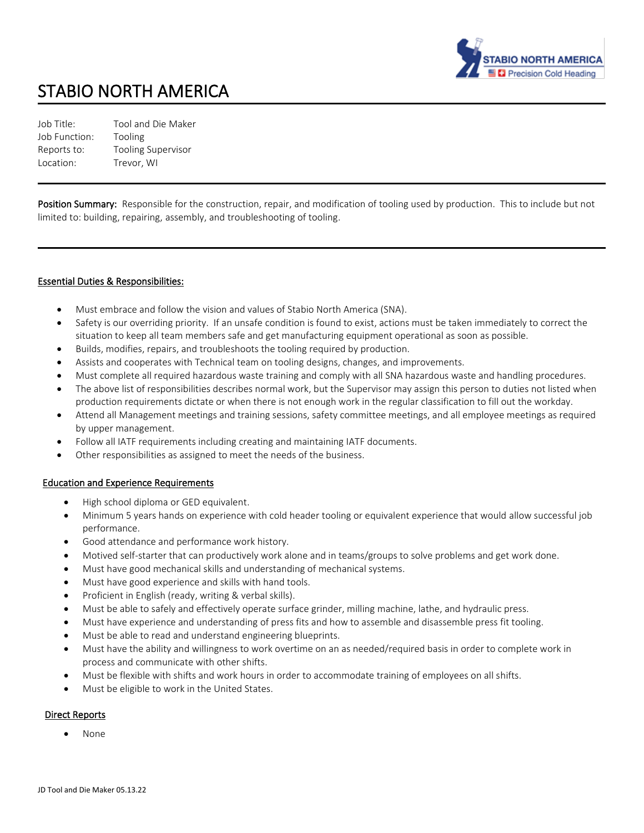

# STABIO NORTH AMERICA

Job Title: Tool and Die Maker Job Function: Tooling Reports to: Tooling Supervisor Location: Trevor, WI

Position Summary: Responsible for the construction, repair, and modification of tooling used by production. This to include but not limited to: building, repairing, assembly, and troubleshooting of tooling.

#### Essential Duties & Responsibilities:

- Must embrace and follow the vision and values of Stabio North America (SNA).
- Safety is our overriding priority. If an unsafe condition is found to exist, actions must be taken immediately to correct the situation to keep all team members safe and get manufacturing equipment operational as soon as possible.
- Builds, modifies, repairs, and troubleshoots the tooling required by production.
- Assists and cooperates with Technical team on tooling designs, changes, and improvements.
- Must complete all required hazardous waste training and comply with all SNA hazardous waste and handling procedures.
- The above list of responsibilities describes normal work, but the Supervisor may assign this person to duties not listed when production requirements dictate or when there is not enough work in the regular classification to fill out the workday.
- Attend all Management meetings and training sessions, safety committee meetings, and all employee meetings as required by upper management.
- Follow all IATF requirements including creating and maintaining IATF documents.
- Other responsibilities as assigned to meet the needs of the business.

#### Education and Experience Requirements

- High school diploma or GED equivalent.
- Minimum 5 years hands on experience with cold header tooling or equivalent experience that would allow successful job performance.
- Good attendance and performance work history.
- Motived self-starter that can productively work alone and in teams/groups to solve problems and get work done.
- Must have good mechanical skills and understanding of mechanical systems.
- Must have good experience and skills with hand tools.
- Proficient in English (ready, writing & verbal skills).
- Must be able to safely and effectively operate surface grinder, milling machine, lathe, and hydraulic press.
- Must have experience and understanding of press fits and how to assemble and disassemble press fit tooling.
- Must be able to read and understand engineering blueprints.
- Must have the ability and willingness to work overtime on an as needed/required basis in order to complete work in process and communicate with other shifts.
- Must be flexible with shifts and work hours in order to accommodate training of employees on all shifts.
- Must be eligible to work in the United States.

#### Direct Reports

• None